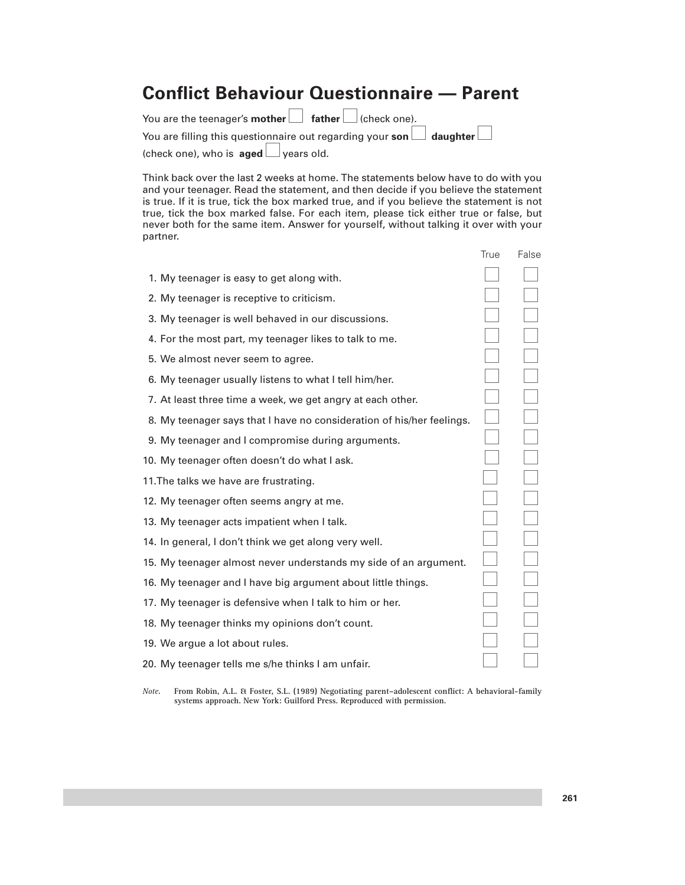## **Conflict Behaviour Questionnaire — Parent**

| You are the teenager's mother $\Box$ father $\Box$ (check one). |                                                                                  |
|-----------------------------------------------------------------|----------------------------------------------------------------------------------|
|                                                                 | You are filling this questionnaire out regarding your son $\Box$ daughter $\Box$ |
| (check one), who is <b>aged</b> $\Box$ years old.               |                                                                                  |

Think back over the last 2 weeks at home. The statements below have to do with you and your teenager. Read the statement, and then decide if you believe the statement is true. If it is true, tick the box marked true, and if you believe the statement is not true, tick the box marked false. For each item, please tick either true or false, but never both for the same item. Answer for yourself, without talking it over with your partner.

|                                                                       | True | False |
|-----------------------------------------------------------------------|------|-------|
| 1. My teenager is easy to get along with.                             |      |       |
| 2. My teenager is receptive to criticism.                             |      |       |
| 3. My teenager is well behaved in our discussions.                    |      |       |
| 4. For the most part, my teenager likes to talk to me.                |      |       |
| 5. We almost never seem to agree.                                     |      |       |
| 6. My teenager usually listens to what I tell him/her.                |      |       |
| 7. At least three time a week, we get angry at each other.            |      |       |
| 8. My teenager says that I have no consideration of his/her feelings. |      |       |
| 9. My teenager and I compromise during arguments.                     |      |       |
| 10. My teenager often doesn't do what I ask.                          |      |       |
| 11. The talks we have are frustrating.                                |      |       |
| 12. My teenager often seems angry at me.                              |      |       |
| 13. My teenager acts impatient when I talk.                           |      |       |
| 14. In general, I don't think we get along very well.                 |      |       |
| 15. My teenager almost never understands my side of an argument.      |      |       |
| 16. My teenager and I have big argument about little things.          |      |       |
| 17. My teenager is defensive when I talk to him or her.               |      |       |
| 18. My teenager thinks my opinions don't count.                       |      |       |
| 19. We argue a lot about rules.                                       |      |       |
| 20. My teenager tells me s/he thinks I am unfair.                     |      |       |

*Note***. From Robin, A.L. & Foster, S.L. (1989) Negotiating parent–adolescent conflict: A behavioral-family systems approach. New York: Guilford Press. Reproduced with permission.**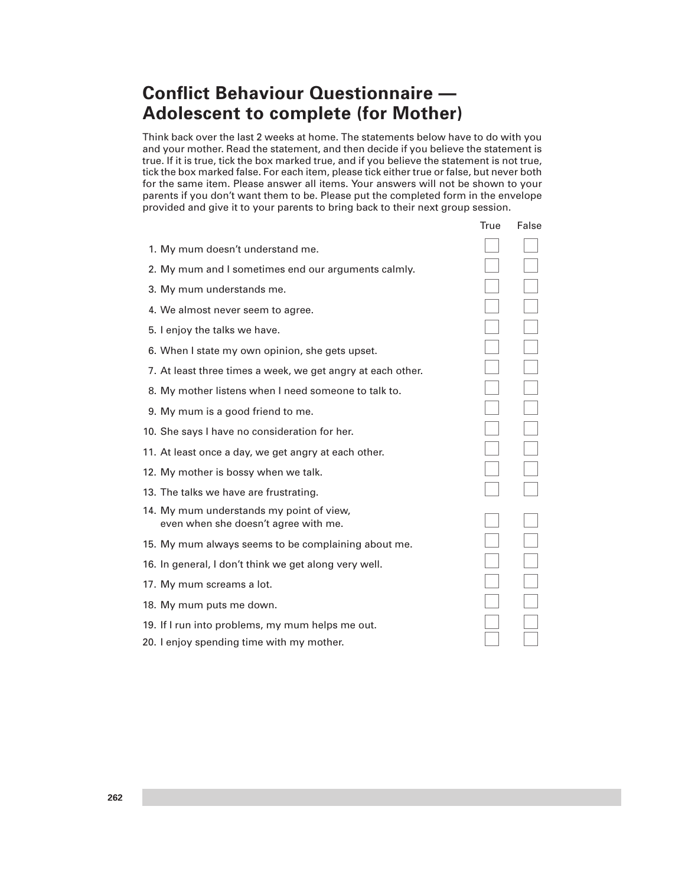## **Conflict Behaviour Questionnaire — Adolescent to complete (for Mother)**

Think back over the last 2 weeks at home. The statements below have to do with you and your mother. Read the statement, and then decide if you believe the statement is true. If it is true, tick the box marked true, and if you believe the statement is not true, tick the box marked false. For each item, please tick either true or false, but never both for the same item. Please answer all items. Your answers will not be shown to your parents if you don't want them to be. Please put the completed form in the envelope provided and give it to your parents to bring back to their next group session.

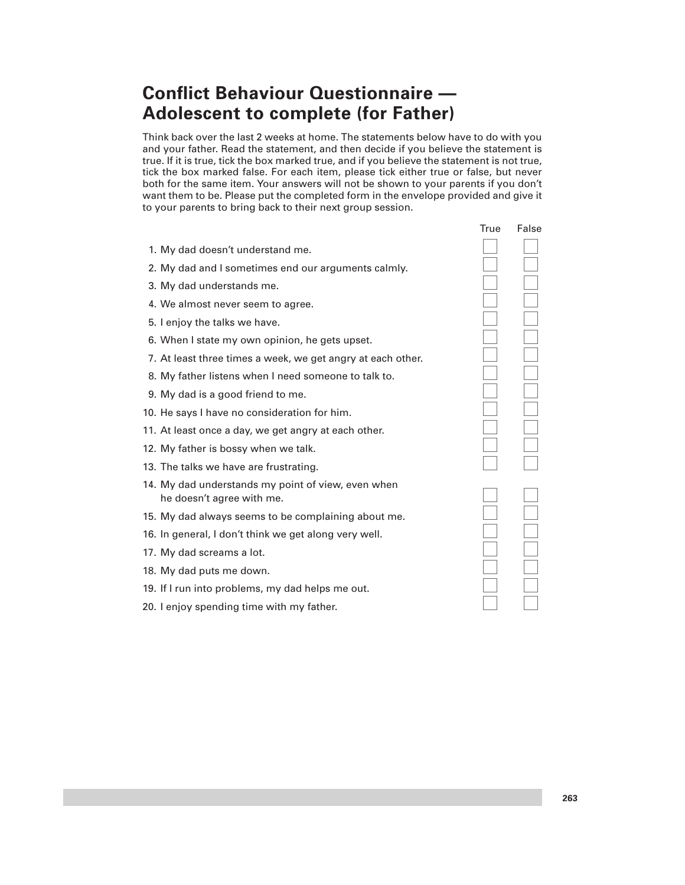## **Conflict Behaviour Questionnaire — Adolescent to complete (for Father)**

Think back over the last 2 weeks at home. The statements below have to do with you and your father. Read the statement, and then decide if you believe the statement is true. If it is true, tick the box marked true, and if you believe the statement is not true, tick the box marked false. For each item, please tick either true or false, but never both for the same item. Your answers will not be shown to your parents if you don't want them to be. Please put the completed form in the envelope provided and give it to your parents to bring back to their next group session.

- the control of the control of the control of the control of the control of the control of the control of the c 1. My dad doesn't understand me. 2. My dad and I sometimes end our arguments calmly. 3. My dad understands me. 4. We almost never seem to agree. 5. I enjoy the talks we have. 6. When I state my own opinion, he gets upset. 7. At least three times a week, we get angry at each other. 8. My father listens when I need someone to talk to. 9. My dad is a good friend to me. 10. He says I have no consideration for him. 11. At least once a day, we get angry at each other. 12. My father is bossy when we talk. 13. The talks we have are frustrating. 14. My dad understands my point of view, even when he doesn't agree with me. 15. My dad always seems to be complaining about me. 16. In general, I don't think we get along very well. 17. My dad screams a lot. 18. My dad puts me down. 19. If I run into problems, my dad helps me out.
- 20. I enjoy spending time with my father.